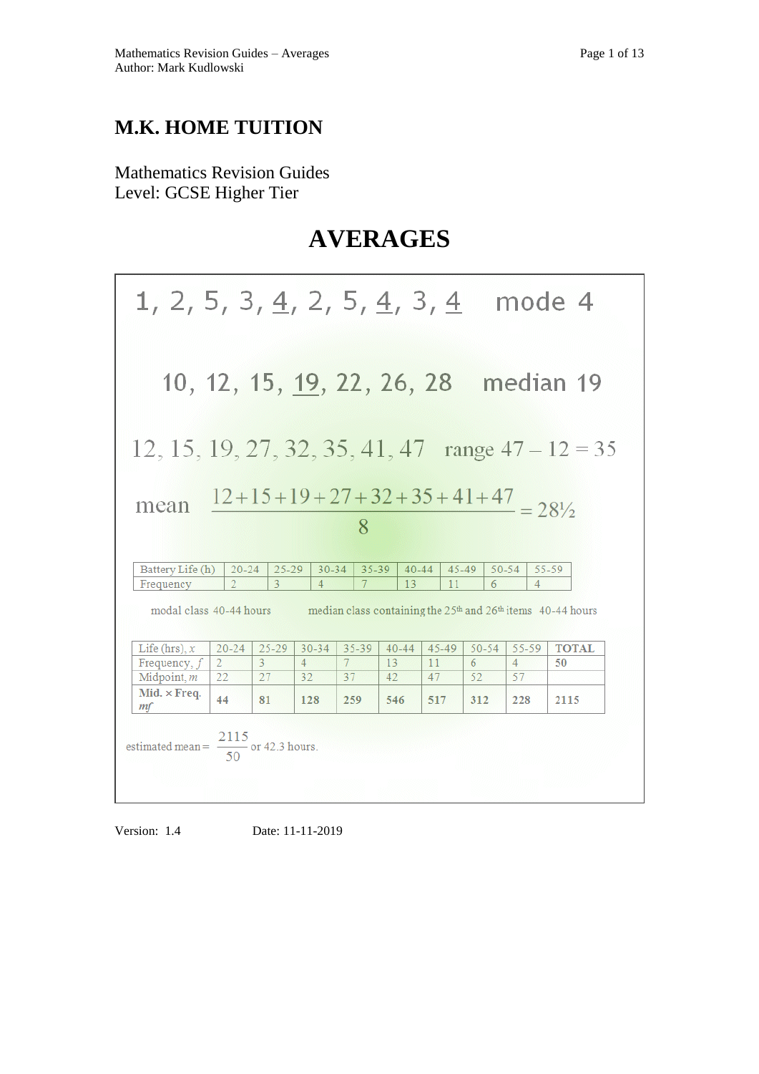# **M.K. HOME TUITION**

Mathematics Revision Guides Level: GCSE Higher Tier

# **AVERAGES**

| 1, 2, 5, 3, <u>4</u> , 2, 5, <u>4</u> , 3, <u>4</u>          |                             |                              |                             |                             |                 |                 |                                           |                         | mode 4                                                                                                    |
|--------------------------------------------------------------|-----------------------------|------------------------------|-----------------------------|-----------------------------|-----------------|-----------------|-------------------------------------------|-------------------------|-----------------------------------------------------------------------------------------------------------|
| 10, 12, 15, 19, 22, 26, 28                                   |                             |                              |                             |                             |                 |                 |                                           |                         | median 19                                                                                                 |
| 12, 15, 19, 27, 32, 35, 41, 47 range $47 - 12 = 35$          |                             |                              |                             |                             |                 |                 |                                           |                         |                                                                                                           |
| mean                                                         |                             |                              |                             | 8                           |                 |                 | $12+15+19+27+32+35+41+47 = 28\frac{1}{2}$ |                         |                                                                                                           |
| Battery Life (h)                                             | $20 - 24$                   | $25 - 29$                    | $30 - 34$                   | $35 - 39$                   | $40 - 44$       |                 | 45-49                                     | $50 - 54$               | 55-59                                                                                                     |
| Frequency                                                    | $\overline{2}$              | $\overline{3}$               | $\overline{4}$              | $7\phantom{.0}$             | 13              | 11              | 6                                         | $\overline{4}$          |                                                                                                           |
| modal class 40-44 hours<br>Life (hrs), $x$<br>Frequency, $f$ | $20 - 24$<br>$\overline{2}$ | $25 - 29$<br>3               | $30 - 34$<br>$\overline{4}$ | $35 - 39$<br>$7\phantom{.}$ | $40 - 44$<br>13 | $45 - 49$<br>11 | $50 - 54$<br>6                            | 55-59<br>$\overline{4}$ | median class containing the 25 <sup>th</sup> and 26 <sup>th</sup> items 40-44 hours<br><b>TOTAL</b><br>50 |
| Midpoint, m                                                  | 22                          | 27                           | 32                          | 37                          | 42              | 47              | 52                                        | 57                      |                                                                                                           |
| Mid. $\times$ Freq.<br>mf                                    | 44                          | 81                           | 128                         | 259                         | 546             | 517             | 312                                       | 228                     | 2115                                                                                                      |
| estimated mean $=$ $-$                                       |                             | $\frac{1}{2}$ or 42.3 hours. |                             |                             |                 |                 |                                           |                         |                                                                                                           |

Version: 1.4 Date: 11-11-2019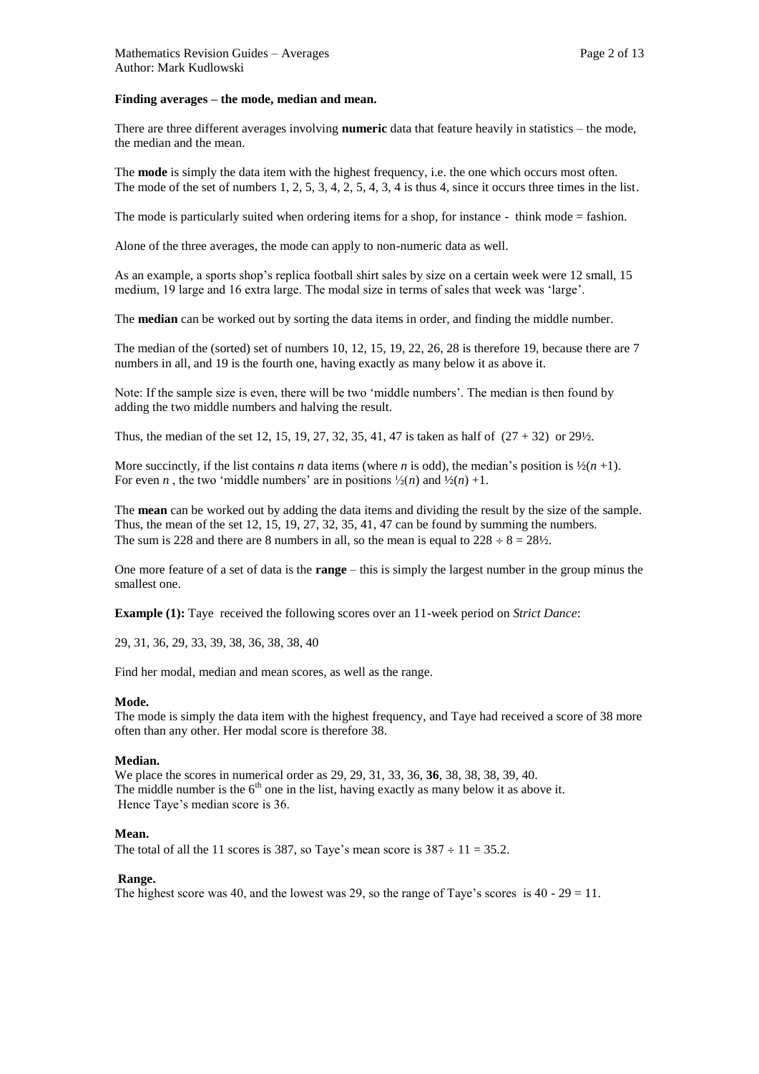#### **Finding averages – the mode, median and mean.**

There are three different averages involving **numeric** data that feature heavily in statistics – the mode, the median and the mean.

The **mode** is simply the data item with the highest frequency, i.e. the one which occurs most often. The mode of the set of numbers 1, 2, 5, 3, 4, 2, 5, 4, 3, 4 is thus 4, since it occurs three times in the list.

The mode is particularly suited when ordering items for a shop, for instance - think mode = fashion.

Alone of the three averages, the mode can apply to non-numeric data as well.

As an example, a sports shop's replica football shirt sales by size on a certain week were 12 small, 15 medium, 19 large and 16 extra large. The modal size in terms of sales that week was 'large'.

The **median** can be worked out by sorting the data items in order, and finding the middle number.

The median of the (sorted) set of numbers 10, 12, 15, 19, 22, 26, 28 is therefore 19, because there are 7 numbers in all, and 19 is the fourth one, having exactly as many below it as above it.

Note: If the sample size is even, there will be two 'middle numbers'. The median is then found by adding the two middle numbers and halving the result.

Thus, the median of the set 12, 15, 19, 27, 32, 35, 41, 47 is taken as half of  $(27 + 32)$  or  $29\frac{1}{2}$ .

More succinctly, if the list contains *n* data items (where *n* is odd), the median's position is  $\frac{1}{2}(n+1)$ . For even *n*, the two 'middle numbers' are in positions  $\frac{1}{2}(n)$  and  $\frac{1}{2}(n) +1$ .

The **mean** can be worked out by adding the data items and dividing the result by the size of the sample. Thus, the mean of the set 12, 15, 19, 27, 32, 35, 41, 47 can be found by summing the numbers. The sum is 228 and there are 8 numbers in all, so the mean is equal to  $228 \div 8 = 28\frac{1}{2}$ .

One more feature of a set of data is the **range** – this is simply the largest number in the group minus the smallest one.

**Example (1):** Taye received the following scores over an 11-week period on *Strict Dance*:

29, 31, 36, 29, 33, 39, 38, 36, 38, 38, 40

Find her modal, median and mean scores, as well as the range.

#### **Mode.**

The mode is simply the data item with the highest frequency, and Taye had received a score of 38 more often than any other. Her modal score is therefore 38.

### **Median.**

We place the scores in numerical order as 29, 29, 31, 33, 36, **36**, 38, 38, 38, 39, 40. The middle number is the  $6<sup>th</sup>$  one in the list, having exactly as many below it as above it. Hence Taye's median score is 36.

# **Mean.**

The total of all the 11 scores is 387, so Taye's mean score is  $387 \div 11 = 35.2$ .

#### **Range.**

The highest score was 40, and the lowest was 29, so the range of Taye's scores is  $40 - 29 = 11$ .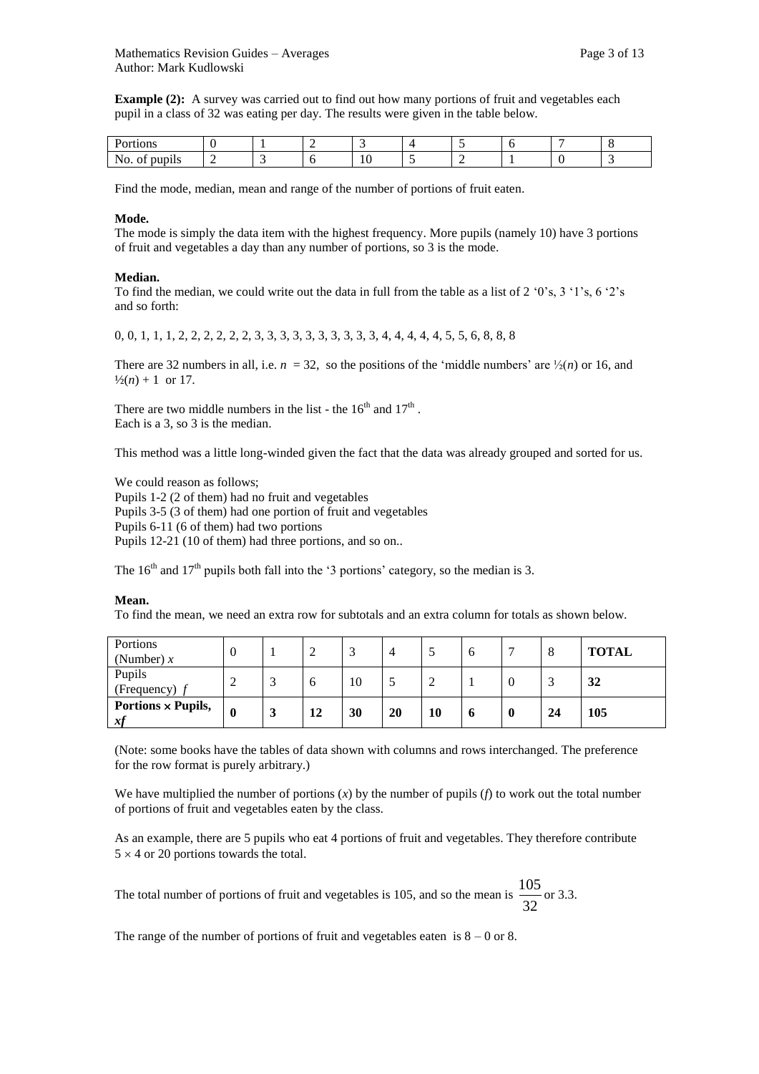**Example (2):** A survey was carried out to find out how many portions of fruit and vegetables each pupil in a class of 32 was eating per day. The results were given in the table below.

| tions                |  |    |   |  |  |
|----------------------|--|----|---|--|--|
| <br>No. of<br>pupils |  | ΙU | - |  |  |

Find the mode, median, mean and range of the number of portions of fruit eaten.

## **Mode.**

The mode is simply the data item with the highest frequency. More pupils (namely 10) have 3 portions of fruit and vegetables a day than any number of portions, so 3 is the mode.

#### **Median.**

To find the median, we could write out the data in full from the table as a list of 2 '0's, 3 '1's, 6 '2's and so forth:

0, 0, 1, 1, 1, 2, 2, 2, 2, 2, 2, 3, 3, 3, 3, 3, 3, 3, 3, 3, 3, 4, 4, 4, 4, 4, 5, 5, 6, 8, 8, 8

There are 32 numbers in all, i.e.  $n = 32$ , so the positions of the 'middle numbers' are  $\frac{1}{2}(n)$  or 16, and  $\frac{1}{2}(n) + 1$  or 17.

There are two middle numbers in the list - the  $16<sup>th</sup>$  and  $17<sup>th</sup>$ . Each is a 3, so 3 is the median.

This method was a little long-winded given the fact that the data was already grouped and sorted for us.

We could reason as follows; Pupils 1-2 (2 of them) had no fruit and vegetables Pupils 3-5 (3 of them) had one portion of fruit and vegetables Pupils 6-11 (6 of them) had two portions Pupils 12-21 (10 of them) had three portions, and so on..

The  $16<sup>th</sup>$  and  $17<sup>th</sup>$  pupils both fall into the '3 portions' category, so the median is 3.

#### **Mean.**

To find the mean, we need an extra row for subtotals and an extra column for totals as shown below.

| Portions<br>(Number) $x$        | $\left($    |    | $\bigcap$ |    |    | O |   | 8  | <b>TOTAL</b> |
|---------------------------------|-------------|----|-----------|----|----|---|---|----|--------------|
| Pupils<br>(Frequency)           | ി           | O  | 10        |    |    |   | v |    | 32           |
| Portions $\times$ Pupils,<br>xf | $\mathbf 0$ | 12 | 30        | 20 | 10 | o | 0 | 24 | 105          |

(Note: some books have the tables of data shown with columns and rows interchanged. The preference for the row format is purely arbitrary.)

We have multiplied the number of portions (*x*) by the number of pupils (*f*) to work out the total number of portions of fruit and vegetables eaten by the class.

As an example, there are 5 pupils who eat 4 portions of fruit and vegetables. They therefore contribute  $5 \times 4$  or 20 portions towards the total.

The total number of portions of fruit and vegetables is 105, and so the mean is 32  $\frac{105}{20}$  or 3.3.

The range of the number of portions of fruit and vegetables eaten is  $8 - 0$  or 8.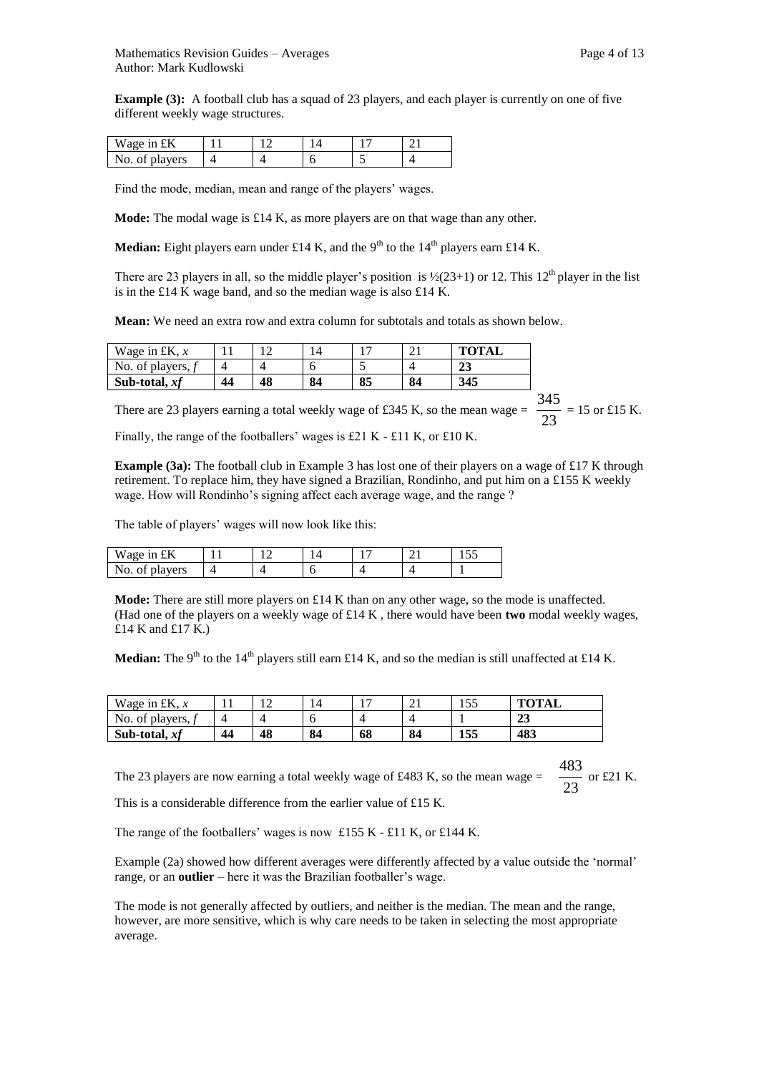**Example (3):** A football club has a squad of 23 players, and each player is currently on one of five different weekly wage structures.

| Wage in £K     |  |  |  |
|----------------|--|--|--|
| No. of players |  |  |  |

Find the mode, median, mean and range of the players' wages.

**Mode:** The modal wage is £14 K, as more players are on that wage than any other.

**Median:** Eight players earn under £14 K, and the 9<sup>th</sup> to the 14<sup>th</sup> players earn £14 K.

There are 23 players in all, so the middle player's position is  $\frac{1}{2}(23+1)$  or 12. This 12<sup>th</sup> player in the list is in the £14 K wage band, and so the median wage is also £14 K.

**Mean:** We need an extra row and extra column for subtotals and totals as shown below.

| Wage in £K, $x$ |    | -  |    |    |    | <b>TOTAL</b> |
|-----------------|----|----|----|----|----|--------------|
| No. of players, |    |    |    |    |    | 49           |
| Sub-total, $xf$ | 44 | 48 | 84 | 85 | 84 | 345          |

There are 23 players earning a total weekly wage of £345 K, so the mean wage =  $\frac{23}{23}$  $\frac{345}{22}$  = 15 or £15 K.

Finally, the range of the footballers' wages is £21 K - £11 K, or £10 K.

**Example (3a):** The football club in Example 3 has lost one of their players on a wage of £17 K through retirement. To replace him, they have signed a Brazilian, Rondinho, and put him on a £155 K weekly wage. How will Rondinho's signing affect each average wage, and the range ?

The table of players' wages will now look like this:

| Wage in<br>tΚ                        |  |  | - -<br>10 U |
|--------------------------------------|--|--|-------------|
| No.<br>players<br>Λt<br>$\mathbf{u}$ |  |  |             |

**Mode:** There are still more players on  $£14$  K than on any other wage, so the mode is unaffected. (Had one of the players on a weekly wage of £14 K , there would have been **two** modal weekly wages, £14 K and £17 K.)

**Median:** The 9<sup>th</sup> to the 14<sup>th</sup> players still earn £14 K, and so the median is still unaffected at £14 K.

| Wage in £K, $x$ | . . | ∸  | 14 | . . | $\sim$ 1 | ت ب | <b>TOTAL</b> |
|-----------------|-----|----|----|-----|----------|-----|--------------|
| No. of players, |     |    |    |     |          |     | $\sim$<br>49 |
| Sub-total, $xf$ | 44  | 48 | 84 | 68  | 84       | 155 | 483          |

The 23 players are now earning a total weekly wage of £483 K, so the mean wage =  $\frac{1}{23}$  $\frac{483}{\sqrt{2}}$  or £21 K.

This is a considerable difference from the earlier value of £15 K.

The range of the footballers' wages is now £155 K - £11 K, or £144 K.

Example (2a) showed how different averages were differently affected by a value outside the 'normal' range, or an **outlier** – here it was the Brazilian footballer's wage.

The mode is not generally affected by outliers, and neither is the median. The mean and the range, however, are more sensitive, which is why care needs to be taken in selecting the most appropriate average.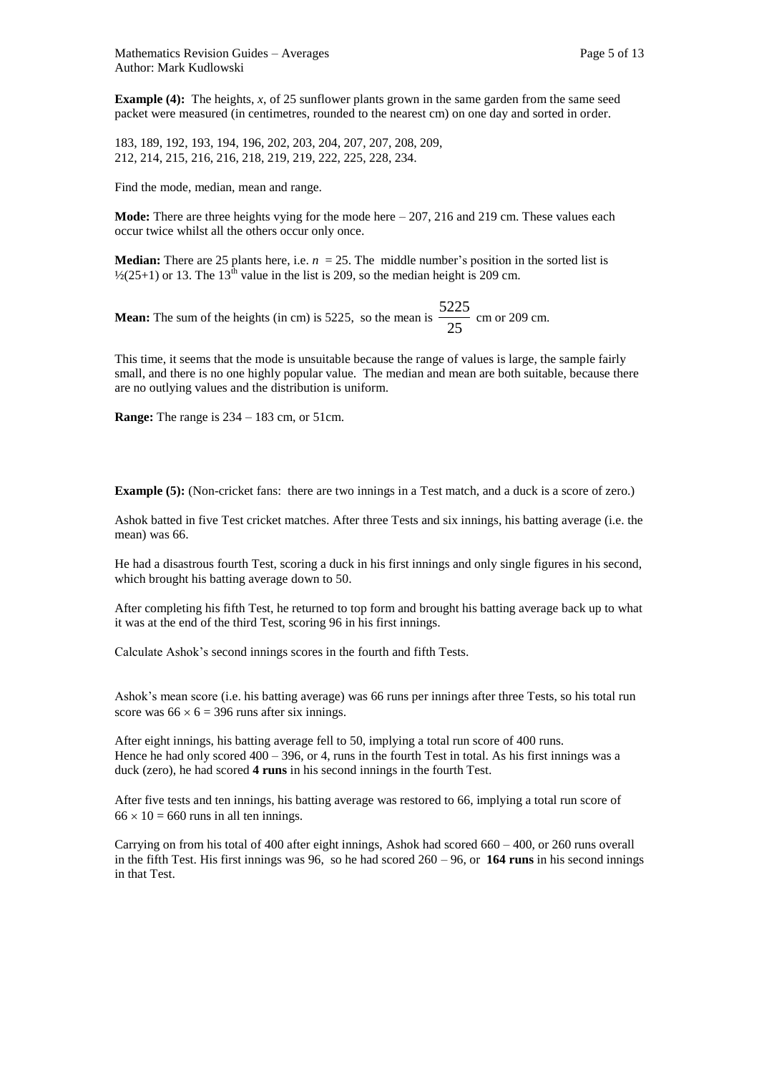**Example (4):** The heights, *x*, of 25 sunflower plants grown in the same garden from the same seed packet were measured (in centimetres, rounded to the nearest cm) on one day and sorted in order.

183, 189, 192, 193, 194, 196, 202, 203, 204, 207, 207, 208, 209, 212, 214, 215, 216, 216, 218, 219, 219, 222, 225, 228, 234.

Find the mode, median, mean and range.

**Mode:** There are three heights vying for the mode here – 207, 216 and 219 cm. These values each occur twice whilst all the others occur only once.

**Median:** There are 25 plants here, i.e.  $n = 25$ . The middle number's position in the sorted list is  $\frac{1}{2}(25+1)$  or 13. The 13<sup>th</sup> value in the list is 209, so the median height is 209 cm.

**Mean:** The sum of the heights (in cm) is 5225, so the mean is  $\frac{25}{25}$  $\frac{5225}{\ldots}$  cm or 209 cm.

This time, it seems that the mode is unsuitable because the range of values is large, the sample fairly small, and there is no one highly popular value. The median and mean are both suitable, because there are no outlying values and the distribution is uniform.

**Range:** The range is 234 – 183 cm, or 51cm.

**Example (5):** (Non-cricket fans: there are two innings in a Test match, and a duck is a score of zero.)

Ashok batted in five Test cricket matches. After three Tests and six innings, his batting average (i.e. the mean) was 66.

He had a disastrous fourth Test, scoring a duck in his first innings and only single figures in his second, which brought his batting average down to 50.

After completing his fifth Test, he returned to top form and brought his batting average back up to what it was at the end of the third Test, scoring 96 in his first innings.

Calculate Ashok's second innings scores in the fourth and fifth Tests.

Ashok's mean score (i.e. his batting average) was 66 runs per innings after three Tests, so his total run score was  $66 \times 6 = 396$  runs after six innings.

After eight innings, his batting average fell to 50, implying a total run score of 400 runs. Hence he had only scored  $400 - 396$ , or 4, runs in the fourth Test in total. As his first innings was a duck (zero), he had scored **4 runs** in his second innings in the fourth Test.

After five tests and ten innings, his batting average was restored to 66, implying a total run score of  $66 \times 10 = 660$  runs in all ten innings.

Carrying on from his total of 400 after eight innings, Ashok had scored 660 – 400, or 260 runs overall in the fifth Test. His first innings was 96, so he had scored 260 – 96, or **164 runs** in his second innings in that Test.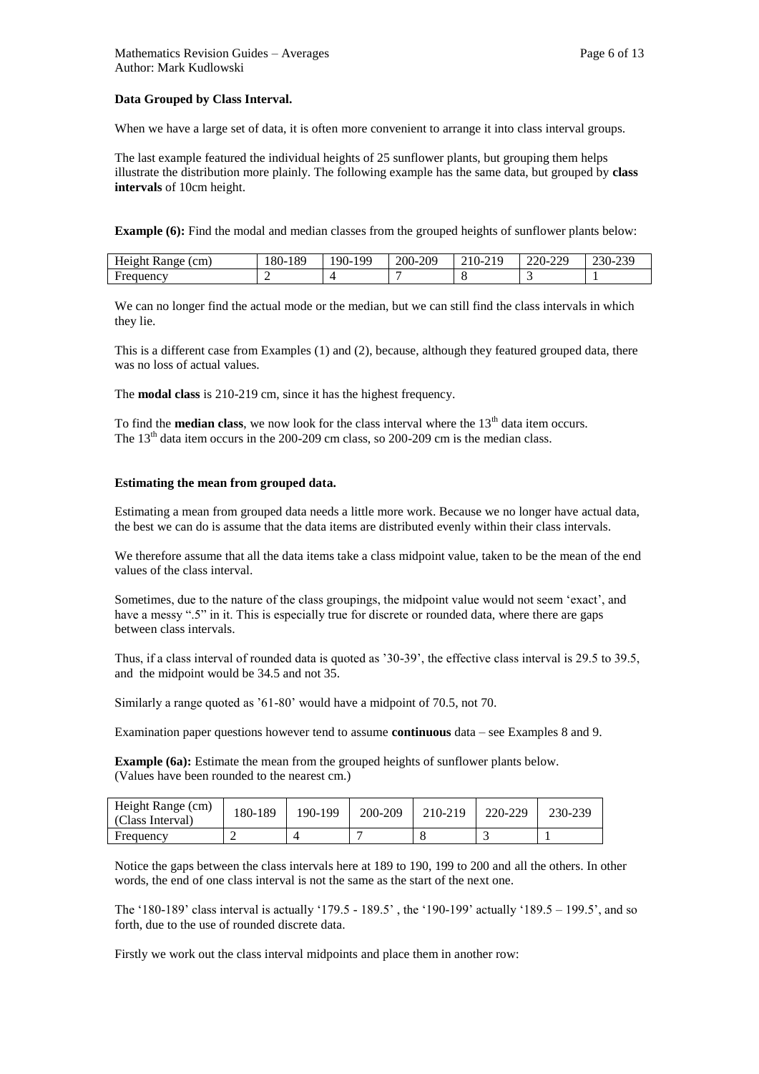# **Data Grouped by Class Interval.**

When we have a large set of data, it is often more convenient to arrange it into class interval groups.

The last example featured the individual heights of 25 sunflower plants, but grouping them helps illustrate the distribution more plainly. The following example has the same data, but grouped by **class intervals** of 10cm height.

**Example (6):** Find the modal and median classes from the grouped heights of sunflower plants below:

| (cm)<br>Height<br>Range | 189<br>$180-1$ | QQ<br>$190-$ | .209<br>$200 - 2$ | $\bigcap$ 1 $\bigcap$<br>.U÷.<br>21 J<br>∠⊥ | .229<br>220<br>$\angle$ <i>L</i> U-<br>. | $\sim$<br>.<br>$250-$<br>ر ر__ |
|-------------------------|----------------|--------------|-------------------|---------------------------------------------|------------------------------------------|--------------------------------|
| Frequency               |                |              |                   |                                             | . .                                      |                                |

We can no longer find the actual mode or the median, but we can still find the class intervals in which they lie.

This is a different case from Examples (1) and (2), because, although they featured grouped data, there was no loss of actual values.

The **modal class** is 210-219 cm, since it has the highest frequency.

To find the **median class**, we now look for the class interval where the 13<sup>th</sup> data item occurs. The  $13<sup>th</sup>$  data item occurs in the 200-209 cm class, so 200-209 cm is the median class.

#### **Estimating the mean from grouped data.**

Estimating a mean from grouped data needs a little more work. Because we no longer have actual data, the best we can do is assume that the data items are distributed evenly within their class intervals.

We therefore assume that all the data items take a class midpoint value, taken to be the mean of the end values of the class interval.

Sometimes, due to the nature of the class groupings, the midpoint value would not seem 'exact', and have a messy ".5" in it. This is especially true for discrete or rounded data, where there are gaps between class intervals.

Thus, if a class interval of rounded data is quoted as '30-39', the effective class interval is 29.5 to 39.5, and the midpoint would be 34.5 and not 35.

Similarly a range quoted as '61-80' would have a midpoint of 70.5, not 70.

Examination paper questions however tend to assume **continuous** data – see Examples 8 and 9.

**Example (6a):** Estimate the mean from the grouped heights of sunflower plants below. (Values have been rounded to the nearest cm.)

| Height Range (cm)<br>(Class Interval) | 180-189 | 190-199 | 200-209 | 210-219 | 220-229 | 230-239 |
|---------------------------------------|---------|---------|---------|---------|---------|---------|
| Frequency                             |         |         |         |         |         |         |

Notice the gaps between the class intervals here at 189 to 190, 199 to 200 and all the others. In other words, the end of one class interval is not the same as the start of the next one.

The '180-189' class interval is actually '179.5 - 189.5' , the '190-199' actually '189.5 – 199.5', and so forth, due to the use of rounded discrete data.

Firstly we work out the class interval midpoints and place them in another row: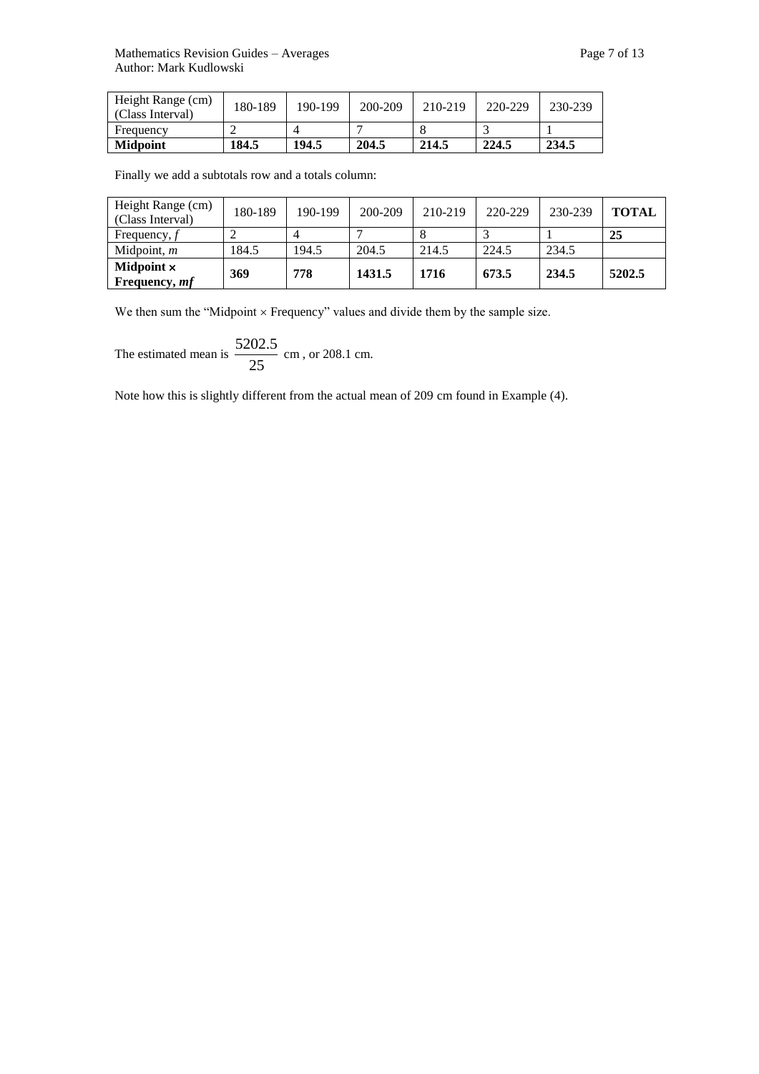| <b>Midpoint</b>                       | 184.5   | 194.5   | 204.5   | 214.5   | 224.5   | 234.5   |
|---------------------------------------|---------|---------|---------|---------|---------|---------|
| Frequency                             |         |         |         |         |         |         |
| Height Range (cm)<br>(Class Interval) | 180-189 | 190-199 | 200-209 | 210-219 | 220-229 | 230-239 |

Finally we add a subtotals row and a totals column:

| Height Range (cm)<br>(Class Interval) | 180-189 | 190-199 | 200-209 | 210-219 | 220-229 | 230-239 | <b>TOTAL</b> |
|---------------------------------------|---------|---------|---------|---------|---------|---------|--------------|
| Frequency, $f$                        |         | 4       |         |         |         |         | 25           |
| Midpoint, $m$                         | 184.5   | 194.5   | 204.5   | 214.5   | 224.5   | 234.5   |              |
| Midpoint $\times$<br>Frequency, mf    | 369     | 778     | 1431.5  | 1716    | 673.5   | 234.5   | 5202.5       |

We then sum the "Midpoint  $\times$  Frequency" values and divide them by the sample size.

The estimated mean is  $\frac{255}{25}$  $\frac{5202.5}{\cdot}$  cm, or 208.1 cm.

Note how this is slightly different from the actual mean of 209 cm found in Example (4).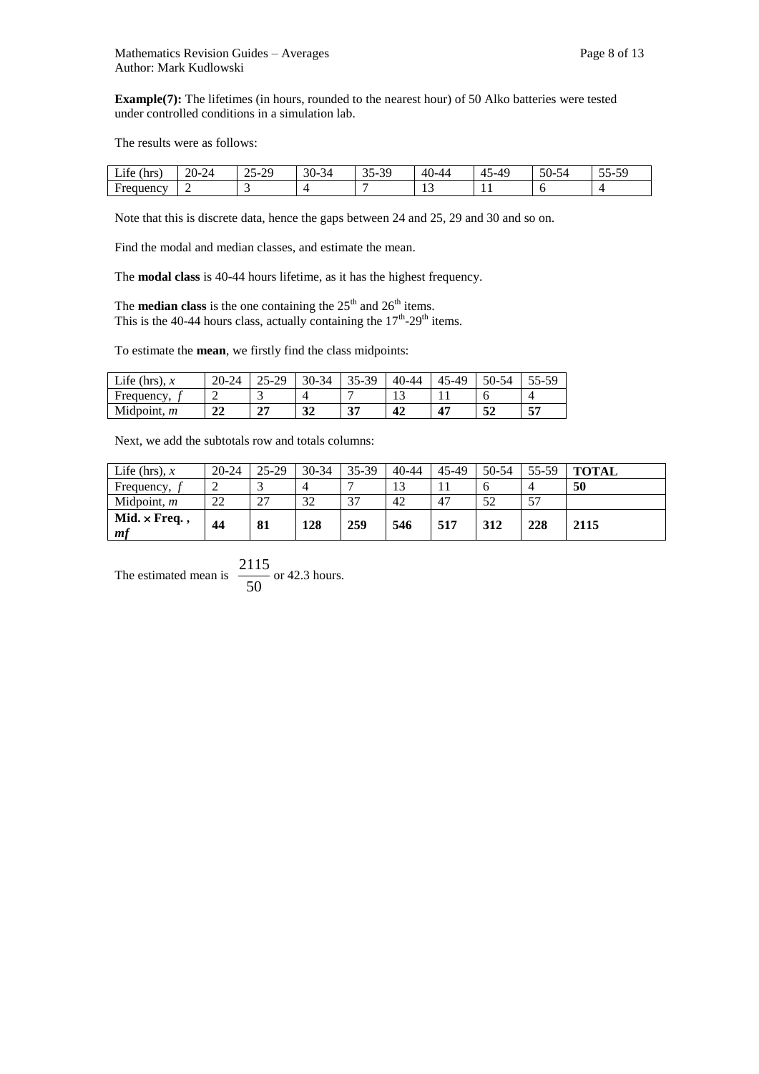**Example(7):** The lifetimes (in hours, rounded to the nearest hour) of 50 Alko batteries were tested under controlled conditions in a simulation lab.

The results were as follows:

| $\cdot$ $\sim$<br>(hrs)<br>$\mathcal{L}$ 11e $\prime$ | $20 - 2$<br>71 | $\sim$ $\sim$<br>-29<br>$\mathbf{r}$<br>رے | $30-$<br>$\sim$<br>-34 | $\overline{c}$<br>34<br>$\mathbf{v}$<br>ັບ<br>້ | $\Delta \Gamma$<br>. . 44 | .4 <sub>c</sub><br>. . | $\sim$<br>ے ر<br>-JU- | $ -$<br>$\sim$<br>$\mathbf{r}$<br>ັບ<br>J . |
|-------------------------------------------------------|----------------|--------------------------------------------|------------------------|-------------------------------------------------|---------------------------|------------------------|-----------------------|---------------------------------------------|
| Frequency                                             |                |                                            |                        |                                                 | . .                       | . .                    | ◡                     |                                             |

Note that this is discrete data, hence the gaps between 24 and 25, 29 and 30 and so on.

Find the modal and median classes, and estimate the mean.

The **modal class** is 40-44 hours lifetime, as it has the highest frequency.

The **median class** is the one containing the  $25<sup>th</sup>$  and  $26<sup>th</sup>$  items. This is the 40-44 hours class, actually containing the  $17<sup>th</sup>$ -29<sup>th</sup> items.

To estimate the **mean**, we firstly find the class midpoints:

| Life (hrs), $x$ | $20 - 24$ | 5-29<br>رے        | 30-34    | -39<br>35- | $40 - 44$ | 45-49                     | 50-54 | $\mathbf{r}$ |
|-----------------|-----------|-------------------|----------|------------|-----------|---------------------------|-------|--------------|
| Frequency,      | -         | -                 |          |            |           |                           |       |              |
| Midpoint, $m$   | າາ<br>∠∠  | $\mathbf{H}$<br>◢ | 21<br>JД | 27<br>ັ    | 42        | $\mathbf{A}^{\mathbf{r}}$ | 52    | EĦ           |

Next, we add the subtotals row and totals columns:

| Life (hrs), $x$           | $20 - 24$ | 25-29                          | $30 - 34$ | 35-39 | $40 - 44$ | 45-49 | 50-54 | 55-59 | <b>TOTAL</b> |
|---------------------------|-----------|--------------------------------|-----------|-------|-----------|-------|-------|-------|--------------|
| Frequency,                | ∼         |                                |           |       | 13<br>⊥ J |       |       |       | 50           |
| Midpoint, $m$             | 22        | 27<br>$\overline{\phantom{a}}$ | 32        | 37    | 42        | 47    | 52    | 57    |              |
| $Mid. \times Freq.$<br>mf | 44        | 81                             | 128       | 259   | 546       | 517   | 312   | 228   | 2115         |

The estimated mean is  $\frac{244}{50}$  $\frac{2115}{25}$  or 42.3 hours.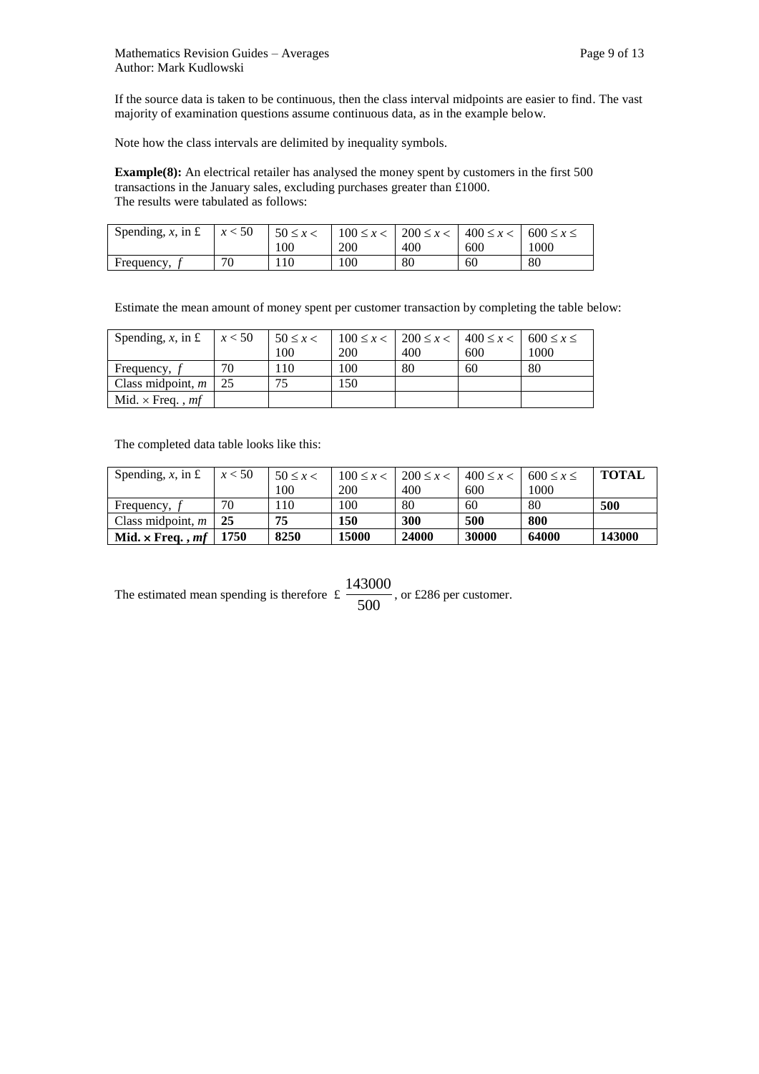If the source data is taken to be continuous, then the class interval midpoints are easier to find. The vast majority of examination questions assume continuous data, as in the example below.

Note how the class intervals are delimited by inequality symbols.

**Example(8):** An electrical retailer has analysed the money spent by customers in the first 500 transactions in the January sales, excluding purchases greater than £1000. The results were tabulated as follows:

| Spending, x, in £ | x < 50 | $50 \leq x <$ |     | $100 \le x < 200 \le x < 1400 \le x < 600 \le x \le$ |     |      |
|-------------------|--------|---------------|-----|------------------------------------------------------|-----|------|
|                   |        | 100           | 200 | 400                                                  | 600 | 1000 |
| Frequency,        | 70     | 110           | 100 | 80                                                   | 60  | 80   |

Estimate the mean amount of money spent per customer transaction by completing the table below:

| Spending, $x$ , in £           | x < 50 | $50 \leq x <$ |     | $100 \le x < 200 \le x < 400 \le x < 600 \le x \le 1$ |     |      |
|--------------------------------|--------|---------------|-----|-------------------------------------------------------|-----|------|
|                                |        | 100           | 200 | 400                                                   | 600 | 1000 |
| Frequency, f                   | 70     | .10           | 100 | 80                                                    | 60  | 80   |
| Class midpoint, $m$            | 25     | 75            | 150 |                                                       |     |      |
| Mid. $\times$ Freq., <i>mf</i> |        |               |     |                                                       |     |      |

The completed data table looks like this:

| Spending, x, in £       | x < 50 | $50 \leq x <$ | $100 \le x <$ | $200 \le x <$ | $400 \le x <$ | $600 \le x \le$ | <b>TOTAL</b> |
|-------------------------|--------|---------------|---------------|---------------|---------------|-----------------|--------------|
|                         |        | 100           | <b>200</b>    | 400           | 600           | 1000            |              |
| Frequency,              | 70     | 110           | 100           | 80            | 60            | 80              | 500          |
| Class midpoint, $m$     | 25     | 75            | 150           | 300           | 500           | 800             |              |
| Mid. $\times$ Freq., mf | 1750   | 8250          | 15000         | 24000         | 30000         | 64000           | 143000       |

The estimated mean spending is therefore  $\frac{2}{500}$  $\frac{143000}{2500}$ , or £286 per customer.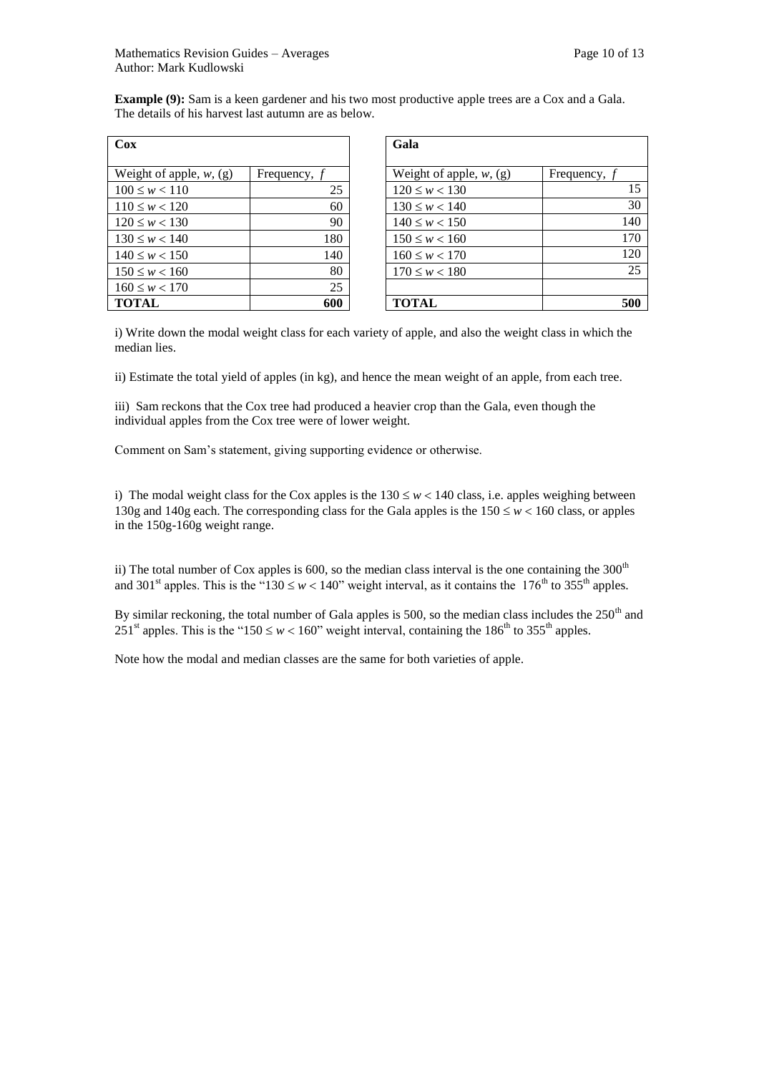| Cox                        |                | Gala                       |              |
|----------------------------|----------------|----------------------------|--------------|
|                            |                |                            |              |
| Weight of apple, $w$ , (g) | Frequency, $f$ | Weight of apple, $w$ , (g) | Frequency, f |
| $100 \leq w < 110$         | 25             | $120 \leq w < 130$         |              |
| $110 \leq w < 120$         | 60             | $130 \leq w < 140$         |              |
| $120 \leq w < 130$         | 90             | $140 \leq w < 150$         |              |
| $130 \leq w < 140$         | 180            | $150 \leq w < 160$         |              |
| $140 \leq w < 150$         | 140            | $160 \leq w < 170$         |              |
| $150 \leq w < 160$         | 80             | $170 \leq w < 180$         |              |
| $160 \leq w < 170$         | 25             |                            |              |
| <b>TOTAL</b>               | 600            | <b>TOTAL</b>               |              |

| Cox                        |                | Gala                       |                |
|----------------------------|----------------|----------------------------|----------------|
| Weight of apple, $w$ , (g) | Frequency, $f$ | Weight of apple, $w$ , (g) | Frequency, $f$ |
| $100 \leq w < 110$         | 25             | $120 \leq w < 130$         | 15             |
| $110 \leq w < 120$         | 60             | $130 \leq w < 140$         | 30             |
| $120 \leq w < 130$         | 90             | $140 \leq w < 150$         | 140            |
| $130 \leq w < 140$         | 180            | $150 \leq w < 160$         | 170            |
| $140 \leq w < 150$         | 140            | $160 \leq w < 170$         | 120            |
| $150 \leq w < 160$         | 80             | $170 \leq w < 180$         | 25             |
| $160 \leq w < 170$         | 25             |                            |                |
| TOTAL                      | 600            | <b>TOTAL</b>               | 500            |

**Example (9):** Sam is a keen gardener and his two most productive apple trees are a Cox and a Gala. The details of his harvest last autumn are as below.

i) Write down the modal weight class for each variety of apple, and also the weight class in which the median lies.

ii) Estimate the total yield of apples (in kg), and hence the mean weight of an apple, from each tree.

iii) Sam reckons that the Cox tree had produced a heavier crop than the Gala, even though the individual apples from the Cox tree were of lower weight.

Comment on Sam's statement, giving supporting evidence or otherwise.

i) The modal weight class for the Cox apples is the  $130 \leq w < 140$  class, i.e. apples weighing between 130g and 140g each. The corresponding class for the Gala apples is the  $150 \leq w < 160$  class, or apples in the 150g-160g weight range.

ii) The total number of Cox apples is 600, so the median class interval is the one containing the  $300<sup>th</sup>$ and 301<sup>st</sup> apples. This is the "130  $\leq w < 140$ " weight interval, as it contains the 176<sup>th</sup> to 355<sup>th</sup> apples.

By similar reckoning, the total number of Gala apples is 500, so the median class includes the  $250<sup>th</sup>$  and 251<sup>st</sup> apples. This is the "150  $\leq w < 160$ " weight interval, containing the 186<sup>th</sup> to 355<sup>th</sup> apples.

Note how the modal and median classes are the same for both varieties of apple.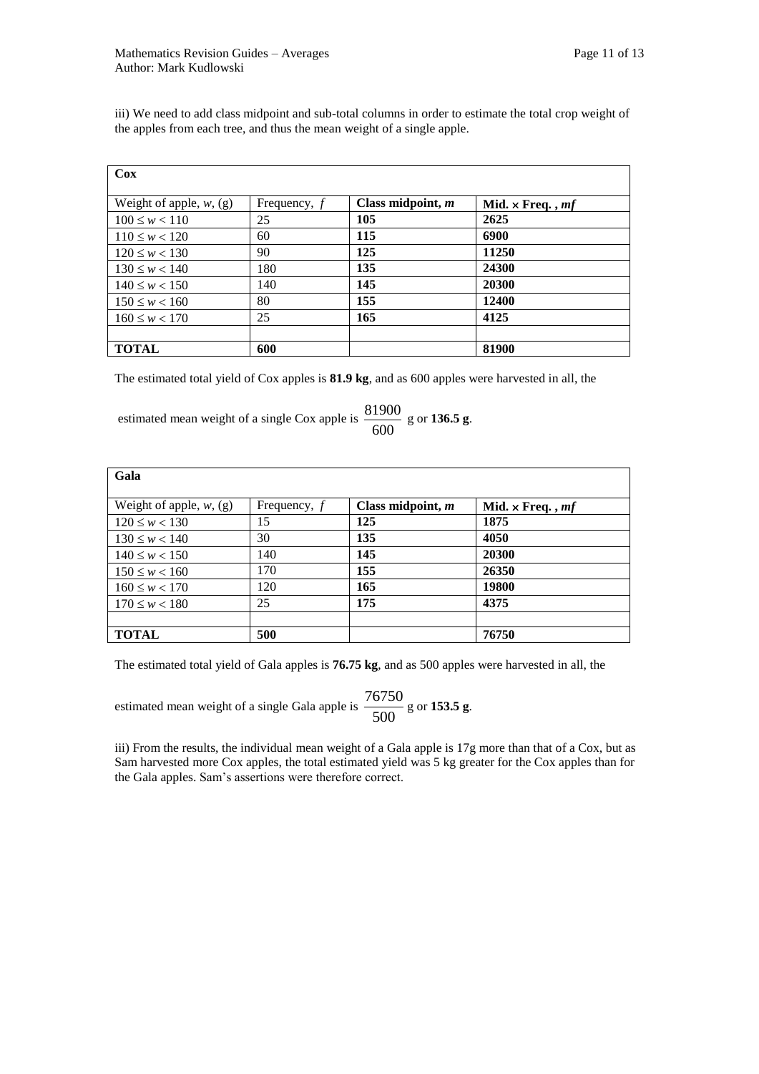iii) We need to add class midpoint and sub-total columns in order to estimate the total crop weight of the apples from each tree, and thus the mean weight of a single apple.

| Cox                        |                |                   |                         |
|----------------------------|----------------|-------------------|-------------------------|
| Weight of apple, $w$ , (g) | Frequency, $f$ | Class midpoint, m | Mid. $\times$ Freq., mf |
| $100 \leq w < 110$         | 25             | 105               | 2625                    |
| $110 \leq w < 120$         | 60             | 115               | 6900                    |
| $120 \leq w < 130$         | 90             | 125               | 11250                   |
| $130 \leq w < 140$         | 180            | 135               | 24300                   |
| $140 \leq w < 150$         | 140            | 145               | 20300                   |
| $150 \leq w < 160$         | 80             | 155               | 12400                   |
| $160 \leq w < 170$         | 25             | 165               | 4125                    |
|                            |                |                   |                         |
| <b>TOTAL</b>               | 600            |                   | 81900                   |

The estimated total yield of Cox apples is **81.9 kg**, and as 600 apples were harvested in all, the

estimated mean weight of a single Cox apple is 600  $\frac{81900}{9}$  g or **136.5** g.

| Gala                       |                |                   |                         |
|----------------------------|----------------|-------------------|-------------------------|
| Weight of apple, $w$ , (g) | Frequency, $f$ | Class midpoint, m | Mid. $\times$ Freq., mf |
| $120 \leq w < 130$         | 15             | 125               | 1875                    |
| $130 \leq w < 140$         | 30             | 135               | 4050                    |
| $140 \leq w < 150$         | 140            | 145               | 20300                   |
| $150 \leq w < 160$         | 170            | 155               | 26350                   |
| $160 \leq w < 170$         | 120            | 165               | 19800                   |
| $170 \leq w < 180$         | 25             | 175               | 4375                    |
|                            |                |                   |                         |
| <b>TOTAL</b>               | 500            |                   | 76750                   |

The estimated total yield of Gala apples is **76.75 kg**, and as 500 apples were harvested in all, the

estimated mean weight of a single Gala apple is  $\frac{1600}{500}$  $\frac{76750}{9}$  g or **153.5 g**.

iii) From the results, the individual mean weight of a Gala apple is 17g more than that of a Cox, but as Sam harvested more Cox apples, the total estimated yield was 5 kg greater for the Cox apples than for the Gala apples. Sam's assertions were therefore correct.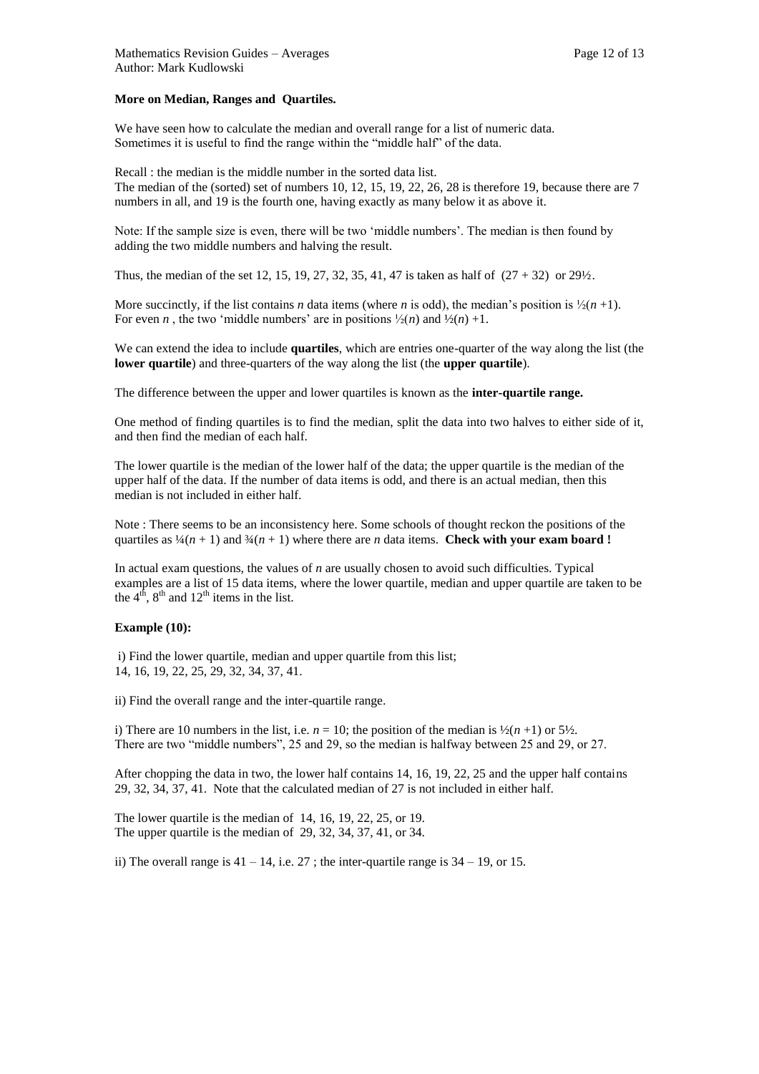## **More on Median, Ranges and Quartiles.**

We have seen how to calculate the median and overall range for a list of numeric data. Sometimes it is useful to find the range within the "middle half" of the data.

Recall : the median is the middle number in the sorted data list. The median of the (sorted) set of numbers 10, 12, 15, 19, 22, 26, 28 is therefore 19, because there are 7 numbers in all, and 19 is the fourth one, having exactly as many below it as above it.

Note: If the sample size is even, there will be two 'middle numbers'. The median is then found by adding the two middle numbers and halving the result.

Thus, the median of the set 12, 15, 19, 27, 32, 35, 41, 47 is taken as half of  $(27 + 32)$  or  $29\frac{1}{2}$ .

More succinctly, if the list contains *n* data items (where *n* is odd), the median's position is  $\frac{1}{2}(n+1)$ . For even *n*, the two 'middle numbers' are in positions  $\frac{1}{2}(n)$  and  $\frac{1}{2}(n) +1$ .

We can extend the idea to include **quartiles**, which are entries one-quarter of the way along the list (the **lower quartile**) and three-quarters of the way along the list (the **upper quartile**).

The difference between the upper and lower quartiles is known as the **inter-quartile range.**

One method of finding quartiles is to find the median, split the data into two halves to either side of it, and then find the median of each half.

The lower quartile is the median of the lower half of the data; the upper quartile is the median of the upper half of the data. If the number of data items is odd, and there is an actual median, then this median is not included in either half.

Note : There seems to be an inconsistency here. Some schools of thought reckon the positions of the quartiles as  $\frac{1}{4}(n+1)$  and  $\frac{3}{4}(n+1)$  where there are *n* data items. **Check with your exam board !** 

In actual exam questions, the values of *n* are usually chosen to avoid such difficulties. Typical examples are a list of 15 data items, where the lower quartile, median and upper quartile are taken to be the  $4<sup>th</sup>$ ,  $8<sup>th</sup>$  and  $12<sup>th</sup>$  items in the list.

# **Example (10):**

i) Find the lower quartile, median and upper quartile from this list; 14, 16, 19, 22, 25, 29, 32, 34, 37, 41.

ii) Find the overall range and the inter-quartile range.

i) There are 10 numbers in the list, i.e.  $n = 10$ ; the position of the median is  $\frac{1}{2}(n+1)$  or  $\frac{5}{2}$ . There are two "middle numbers", 25 and 29, so the median is halfway between 25 and 29, or 27.

After chopping the data in two, the lower half contains 14, 16, 19, 22, 25 and the upper half contains 29, 32, 34, 37, 41. Note that the calculated median of 27 is not included in either half.

The lower quartile is the median of 14, 16, 19, 22, 25, or 19. The upper quartile is the median of 29, 32, 34, 37, 41, or 34.

ii) The overall range is  $41 - 14$ , i.e. 27; the inter-quartile range is  $34 - 19$ , or 15.